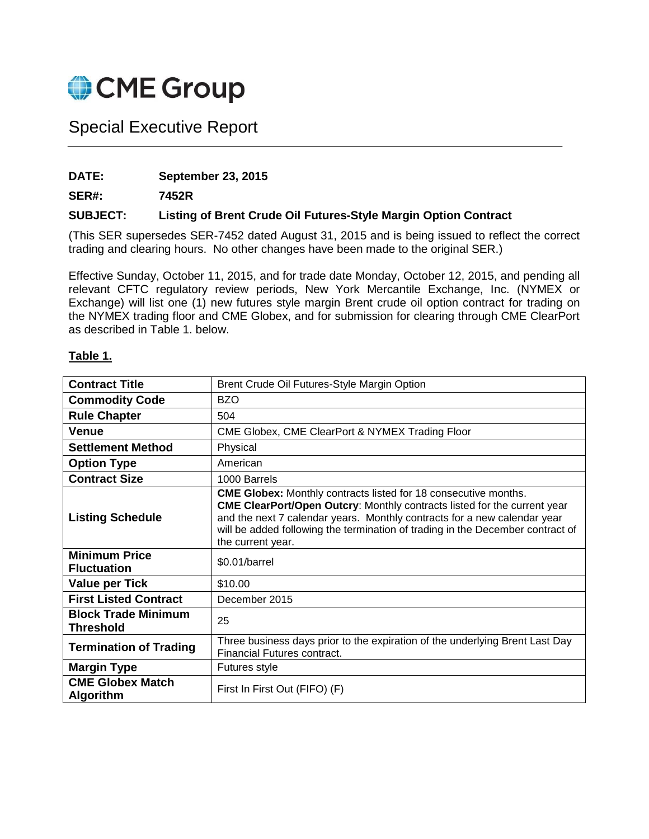

# Special Executive Report

#### **DATE: September 23, 2015**

**SER#: 7452R**

#### **SUBJECT: Listing of Brent Crude Oil Futures-Style Margin Option Contract**

(This SER supersedes SER-7452 dated August 31, 2015 and is being issued to reflect the correct trading and clearing hours. No other changes have been made to the original SER.)

Effective Sunday, October 11, 2015, and for trade date Monday, October 12, 2015, and pending all relevant CFTC regulatory review periods, New York Mercantile Exchange, Inc. (NYMEX or Exchange) will list one (1) new futures style margin Brent crude oil option contract for trading on the NYMEX trading floor and CME Globex, and for submission for clearing through CME ClearPort as described in Table 1. below.

#### **Table 1.**

| <b>Contract Title</b>                          | Brent Crude Oil Futures-Style Margin Option                                                                                                                                                                                                                                                                                                  |  |
|------------------------------------------------|----------------------------------------------------------------------------------------------------------------------------------------------------------------------------------------------------------------------------------------------------------------------------------------------------------------------------------------------|--|
| <b>Commodity Code</b>                          | <b>BZO</b>                                                                                                                                                                                                                                                                                                                                   |  |
| <b>Rule Chapter</b>                            | 504                                                                                                                                                                                                                                                                                                                                          |  |
| Venue                                          | CME Globex, CME ClearPort & NYMEX Trading Floor                                                                                                                                                                                                                                                                                              |  |
| <b>Settlement Method</b>                       | Physical                                                                                                                                                                                                                                                                                                                                     |  |
| <b>Option Type</b>                             | American                                                                                                                                                                                                                                                                                                                                     |  |
| <b>Contract Size</b>                           | 1000 Barrels                                                                                                                                                                                                                                                                                                                                 |  |
| <b>Listing Schedule</b>                        | <b>CME Globex:</b> Monthly contracts listed for 18 consecutive months.<br><b>CME ClearPort/Open Outcry: Monthly contracts listed for the current year</b><br>and the next 7 calendar years. Monthly contracts for a new calendar year<br>will be added following the termination of trading in the December contract of<br>the current year. |  |
| <b>Minimum Price</b><br><b>Fluctuation</b>     | \$0.01/barrel                                                                                                                                                                                                                                                                                                                                |  |
| <b>Value per Tick</b>                          | \$10.00                                                                                                                                                                                                                                                                                                                                      |  |
| <b>First Listed Contract</b>                   | December 2015                                                                                                                                                                                                                                                                                                                                |  |
| <b>Block Trade Minimum</b><br><b>Threshold</b> | 25                                                                                                                                                                                                                                                                                                                                           |  |
| <b>Termination of Trading</b>                  | Three business days prior to the expiration of the underlying Brent Last Day<br>Financial Futures contract.                                                                                                                                                                                                                                  |  |
| <b>Margin Type</b>                             | Futures style                                                                                                                                                                                                                                                                                                                                |  |
| <b>CME Globex Match</b><br><b>Algorithm</b>    | First In First Out (FIFO) (F)                                                                                                                                                                                                                                                                                                                |  |